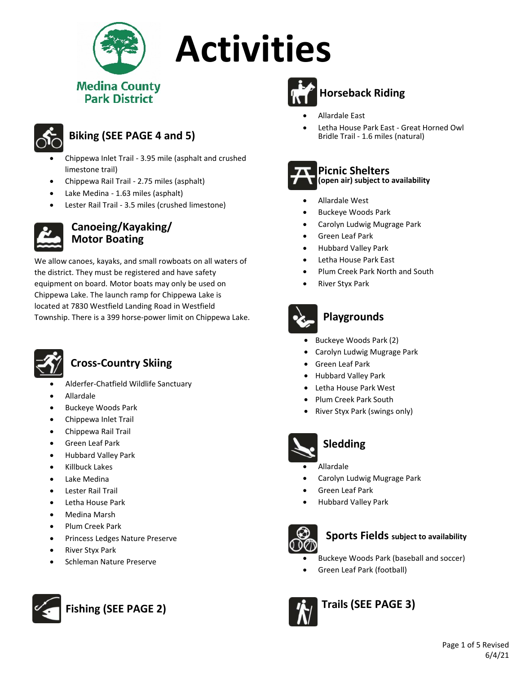

# **Activities**

# **Medina County**



## **Biking (SEE PAGE 4 and 5)**

- �� Chippewa Inlet Trail 3.95 mile (asphalt and crushed limestone trail)
- �� Chippewa Rail Trail 2.75 miles (asphalt)
- Lake Medina 1.63 miles (asphalt)
- Lester Rail Trail 3.5 miles (crushed limestone)



#### **Canoeing/Kayaking/ Motor Boating**

We allow canoes, kayaks, and small rowboats on all waters of the district. They must be registered and have safety equipment on board. Motor boats may only be used on Chippewa Lake. The launch ramp for Chippewa Lake is located at 7830 Westfield Landing Road in Westfield Township. There is a 399 horse-power limit on Chippewa Lake.



## **Cross-Country Skiing**

- �� Alderfer-Chatfield Wildlife Sanctuary
- �� Allardale
- � Buckeye Woods Park
- �� Chippewa Inlet Trail
- �� Chippewa Rail Trail
- �� Green Leaf Park
- �� Hubbard Valley Park
- �� Killbuck Lakes
- Lake Medina
- �� Lester Rail Trail
- �� Letha House Park
- �� Medina Marsh
- �� Plum Creek Park
- Princess Ledges Nature Preserve
- �� River Styx Park
- �� Schleman Nature Preserve





## **Horseback Riding**

- �� Allardale East
- �� Letha House Park East Great Horned Owl Bridle Trail - 1.6 miles (natural)



#### **Picnic Shelters (open air) subject to availability**

- �� Allardale West
- � Buckeye Woods Park
- �� Carolyn Ludwig Mugrage Park
- �� Green Leaf Park
- �� Hubbard Valley Park
- �� Letha House Park East
- Plum Creek Park North and South
- �� River Styx Park



## **Playgrounds**

- Buckeye Woods Park (2)
- Carolyn Ludwig Mugrage Park
- Green Leaf Park
- Hubbard Valley Park
- Letha House Park West
- Plum Creek Park South
- River Styx Park (swings only)



## **Sledding**

- **Allardale**
- �� Carolyn Ludwig Mugrage Park
- �� Green Leaf Park
- �� Hubbard Valley Park



## **Sports Fields subject to availability**

- � Buckeye Woods Park (baseball and soccer)
- Green Leaf Park (football)



**Trails (SEE PAGE 3)**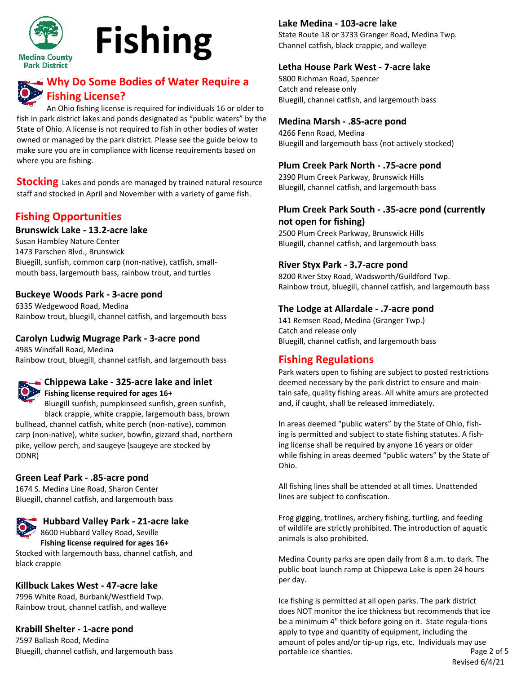

# **Fishing**

## **Why Do Some Bodies of Water Require a Fishing License?**

An Ohio fishing license is required for individuals 16 or older to fish in park district lakes and ponds designated as "public waters" by the State of Ohio. A license is not required to fish in other bodies of water owned or managed by the park district. Please see the guide below to make sure you are in compliance with license requirements based on where you are fishing.

**Stocking** Lakes and ponds are managed by trained natural resource staff and stocked in April and November with a variety of game fish.

## **Fishing Opportunities**

#### **Brunswick Lake - 13.2-acre lake**

Susan Hambley Nature Center 1473 Parschen Blvd., Brunswick Bluegill, sunfish, common carp (non-native), catfish, smallmouth bass, largemouth bass, rainbow trout, and turtles

#### **Buckeye Woods Park - 3-acre pond**

6335 Wedgewood Road, Medina Rainbow trout, bluegill, channel catfish, and largemouth bass

#### **Carolyn Ludwig Mugrage Park - 3-acre pond**

4985 Windfall Road, Medina Rainbow trout, bluegill, channel catfish, and largemouth bass



#### **Chippewa Lake - 325-acre lake and inlet Fishing license required for ages 16+**

Bluegill sunfish, pumpkinseed sunfish, green sunfish, black crappie, white crappie, largemouth bass, brown bullhead, channel catfish, white perch (non-native), common

carp (non-native), white sucker, bowfin, gizzard shad, northern pike, yellow perch, and saugeye (saugeye are stocked by ODNR)

#### **Green Leaf Park - .85-acre pond**

1674 S. Medina Line Road, Sharon Center Bluegill, channel catfish, and largemouth bass

### **Hubbard Valley Park - 21-acre lake**

8600 Hubbard Valley Road, Seville

**Fishing license required for ages 16+** Stocked with largemouth bass, channel catfish, and black crappie

#### **Killbuck Lakes West - 47-acre lake**

7996 White Road, Burbank/Westfield Twp. Rainbow trout, channel catfish, and walleye

#### **Krabill Shelter - 1-acre pond**

7597 Ballash Road, Medina Bluegill, channel catfish, and largemouth bass

#### **Lake Medina - 103-acre lake**

State Route 18 or 3733 Granger Road, Medina Twp. Channel catfish, black crappie, and walleye

#### **Letha House Park West - 7-acre lake**

5800 Richman Road, Spencer Catch and release only Bluegill, channel catfish, and largemouth bass

#### **Medina Marsh - .85-acre pond**

4266 Fenn Road, Medina Bluegill and largemouth bass (not actively stocked)

#### **Plum Creek Park North - .75-acre pond**

2390 Plum Creek Parkway, Brunswick Hills Bluegill, channel catfish, and largemouth bass

#### **Plum Creek Park South - .35-acre pond (currently not open for fishing)**

2500 Plum Creek Parkway, Brunswick Hills Bluegill, channel catfish, and largemouth bass

#### **River Styx Park - 3.7-acre pond**

8200 River Stxy Road, Wadsworth/Guildford Twp. Rainbow trout, bluegill, channel catfish, and largemouth bass

#### **The Lodge at Allardale - .7-acre pond**

141 Remsen Road, Medina (Granger Twp.) Catch and release only Bluegill, channel catfish, and largemouth bass

#### **Fishing Regulations**

Park waters open to fishing are subject to posted restrictions deemed necessary by the park district to ensure and maintain safe, quality fishing areas. All white amurs are protected and, if caught, shall be released immediately.

In areas deemed "public waters" by the State of Ohio, fishing is permitted and subject to state fishing statutes. A fishing license shall be required by anyone 16 years or older while fishing in areas deemed "public waters" by the State of Ohio.

All fishing lines shall be attended at all times. Unattended lines are subject to confiscation.

Frog gigging, trotlines, archery fishing, turtling, and feeding of wildlife are strictly prohibited. The introduction of aquatic animals is also prohibited.

Medina County parks are open daily from 8 a.m. to dark. The public boat launch ramp at Chippewa Lake is open 24 hours per day.

Ice fishing is permitted at all open parks. The park district does NOT monitor the ice thickness but recommends that ice be a minimum 4" thick before going on it. State regula-tions apply to type and quantity of equipment, including the amount of poles and/or tip-up rigs, etc. Individuals may use portable ice shanties. The state of 5 and 2 of 5 Revised 6/4/21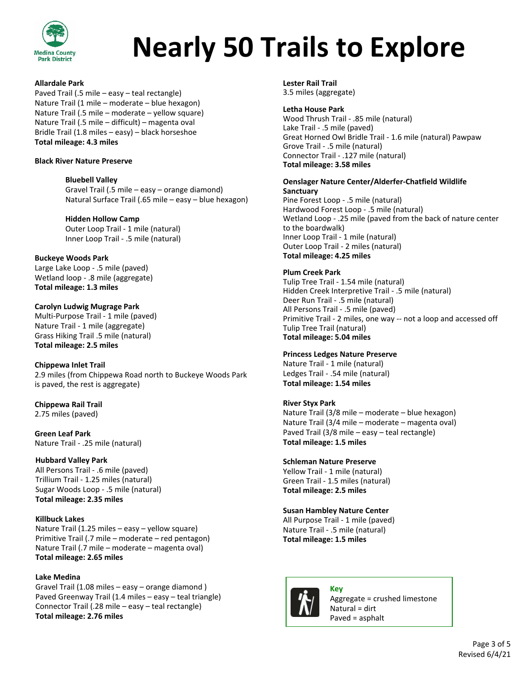

## **Nearly 50 Trails to Explore**

#### **Allardale Park**

Paved Trail (.5 mile – easy – teal rectangle) Nature Trail (1 mile – moderate – blue hexagon) Nature Trail (.5 mile – moderate – yellow square) Nature Trail (.5 mile – difficult) – magenta oval Bridle Trail (1.8 miles – easy) – black horseshoe **Total mileage: 4.3 miles**

#### **Black River Nature Preserve**

#### **Bluebell Valley**

Gravel Trail (.5 mile – easy – orange diamond) Natural Surface Trail (.65 mile – easy – blue hexagon)

#### **Hidden Hollow Camp**

Outer Loop Trail - 1 mile (natural) Inner Loop Trail - .5 mile (natural)

#### **Buckeye Woods Park**

Large Lake Loop - .5 mile (paved) Wetland loop - .8 mile (aggregate) **Total mileage: 1.3 miles**

#### **Carolyn Ludwig Mugrage Park**

Multi-Purpose Trail - 1 mile (paved) Nature Trail - 1 mile (aggregate) Grass Hiking Trail .5 mile (natural) **Total mileage: 2.5 miles**

#### **Chippewa Inlet Trail**

2.9 miles (from Chippewa Road north to Buckeye Woods Park is paved, the rest is aggregate)

#### **Chippewa Rail Trail** 2.75 miles (paved)

**Green Leaf Park** Nature Trail - .25 mile (natural)

#### **Hubbard Valley Park**

All Persons Trail - .6 mile (paved) Trillium Trail - 1.25 miles (natural) Sugar Woods Loop - .5 mile (natural) **Total mileage: 2.35 miles**

#### **Killbuck Lakes**

Nature Trail (1.25 miles – easy – yellow square) Primitive Trail (.7 mile – moderate – red pentagon) Nature Trail (.7 mile – moderate – magenta oval) **Total mileage: 2.65 miles**

#### **Lake Medina**

Gravel Trail (1.08 miles – easy – orange diamond ) Paved Greenway Trail (1.4 miles – easy – teal triangle) Connector Trail (.28 mile – easy – teal rectangle) **Total mileage: 2.76 miles**

**Lester Rail Trail** 3.5 miles (aggregate)

#### **Letha House Park**

Wood Thrush Trail - .85 mile (natural) Lake Trail - .5 mile (paved) Great Horned Owl Bridle Trail - 1.6 mile (natural) Pawpaw Grove Trail - .5 mile (natural) Connector Trail - .127 mile (natural) **Total mileage: 3.58 miles**

#### **Oenslager Nature Center/Alderfer-Chatfield Wildlife Sanctuary**

Pine Forest Loop - .5 mile (natural) Hardwood Forest Loop - .5 mile (natural) Wetland Loop - .25 mile (paved from the back of nature center to the boardwalk) Inner Loop Trail - 1 mile (natural) Outer Loop Trail - 2 miles (natural) **Total mileage: 4.25 miles**

#### **Plum Creek Park**

Tulip Tree Trail - 1.54 mile (natural) Hidden Creek Interpretive Trail - .5 mile (natural) Deer Run Trail - .5 mile (natural) All Persons Trail - .5 mile (paved) Primitive Trail - 2 miles, one way -- not a loop and accessed off Tulip Tree Trail (natural) **Total mileage: 5.04 miles**

#### **Princess Ledges Nature Preserve**

Nature Trail - 1 mile (natural) Ledges Trail - .54 mile (natural) **Total mileage: 1.54 miles**

#### **River Styx Park**

Nature Trail (3/8 mile – moderate – blue hexagon) Nature Trail (3/4 mile – moderate – magenta oval) Paved Trail (3/8 mile – easy – teal rectangle) **Total mileage: 1.5 miles**

#### **Schleman Nature Preserve**

Yellow Trail - 1 mile (natural) Green Trail - 1.5 miles (natural) **Total mileage: 2.5 miles**

#### **Susan Hambley Nature Center**

All Purpose Trail - 1 mile (paved) Nature Trail - .5 mile (natural) **Total mileage: 1.5 miles**



**Key** Aggregate = crushed limestone Natural = dirt Paved = asphalt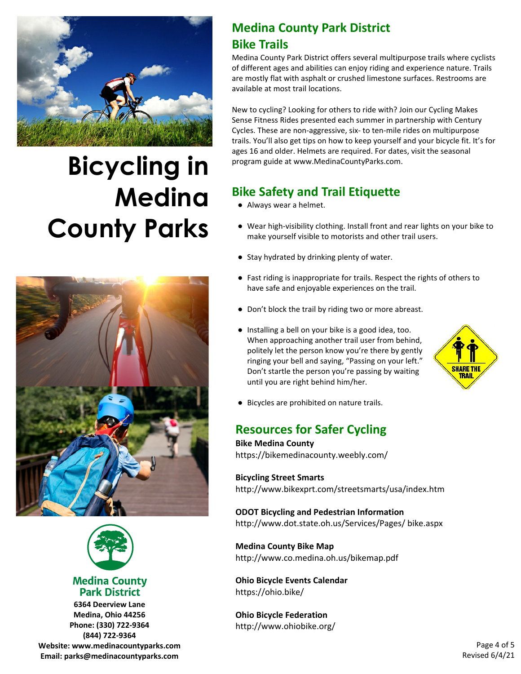

## **Bicycling in Medina County Parks**





#### **Medina County Park District**

**6364 Deerview Lane Medina, Ohio 44256 Phone: (330) 722-9364 (844) 722-9364 Website: www.medinacountyparks.com Email: parks@medinacountyparks.com**

## **Medina County Park District Bike Trails**

Medina County Park District offers several multipurpose trails where cyclists of different ages and abilities can enjoy riding and experience nature. Trails are mostly flat with asphalt or crushed limestone surfaces. Restrooms are available at most trail locations.

New to cycling? Looking for others to ride with? Join our Cycling Makes Sense Fitness Rides presented each summer in partnership with Century Cycles. These are non-aggressive, six- to ten-mile rides on multipurpose trails. You'll also get tips on how to keep yourself and your bicycle fit. It's for ages 16 and older. Helmets are required. For dates, visit the seasonal program guide at www.MedinaCountyParks.com.

## **Bike Safety and Trail Etiquette**

- Always wear a helmet.
- Wear high-visibility clothing. Install front and rear lights on your bike to make yourself visible to motorists and other trail users.
- Stay hydrated by drinking plenty of water.
- Fast riding is inappropriate for trails. Respect the rights of others to have safe and enjoyable experiences on the trail.
- Don't block the trail by riding two or more abreast.
- Installing a bell on your bike is a good idea, too. When approaching another trail user from behind, politely let the person know you're there by gently ringing your bell and saying, "Passing on your left." Don't startle the person you're passing by waiting until you are right behind him/her.



● Bicycles are prohibited on nature trails.

## **Resources for Safer Cycling**

**Bike Medina County** https://bikemedinacounty.weebly.com/

#### **Bicycling Street Smarts** http://www.bikexprt.com/streetsmarts/usa/index.htm

#### **ODOT Bicycling and Pedestrian Information** http://www.dot.state.oh.us/Services/Pages/ bike.aspx

#### **Medina County Bike Map** http://www.co.medina.oh.us/bikemap.pdf

**Ohio Bicycle Events Calendar** https://ohio.bike/

**Ohio Bicycle Federation** http://www.ohiobike.org/